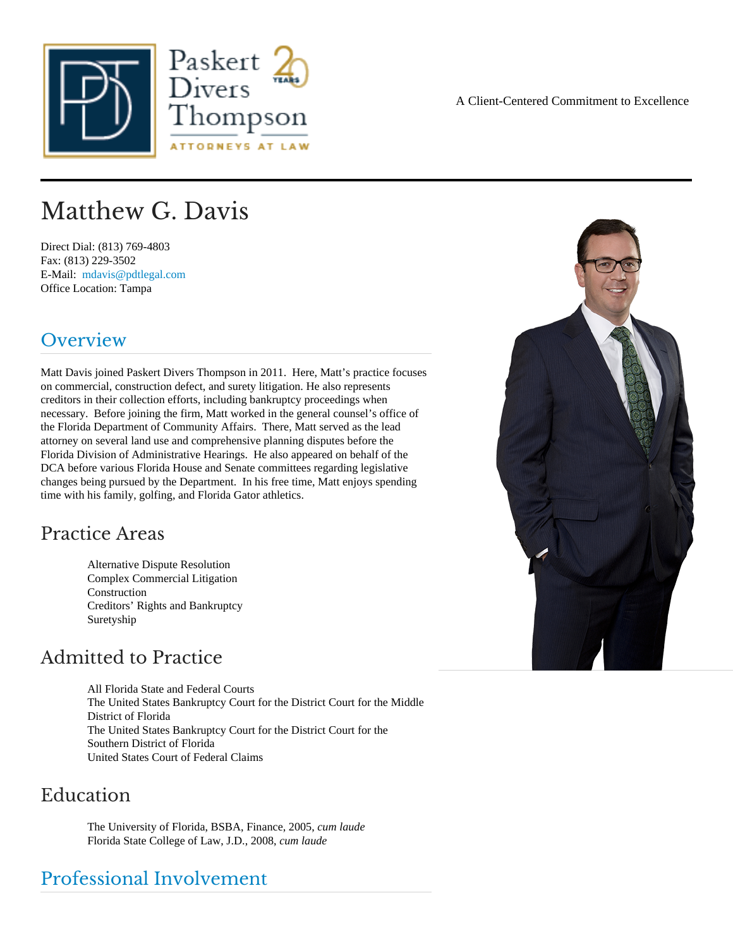# Matthew G. Davis

Direct Dial: (813) 769-4803 Fax: (813) 229-3502 E-Mail: [mdavis@pdtlegal.co](mailto:mdavis@pdtlegal.com )m Office Location: Tampa

# Overview

Matt Davis joined Paskert Divers Thompson in 2011. Here, Matt's practice focuses on commercial, construction defect, and surety litigation. He also represents creditors in their collection efforts, including bankruptcy proceedings when necessary. Before joining the firm, Matt worked in the general counsel's office of the Florida Department of Community Affairs. There, Matt served as the lead attorney on several land use and comprehensive planning disputes before the Florida Division of Administrative Hearings. He also appeared on behalf of the DCA before various Florida House and Senate committees regarding legislative changes being pursued by the Department. In his free time, Matt enjoys spending time with his family, golfing, and Florida Gator athletics.

## Practice Areas

Alternative Dispute Resolution Complex Commercial Litigation **Construction** Creditors' Rights and Bankruptcy **Suretyship** 

## Admitted to Practice

All Florida State and Federal Courts The United States Bankruptcy Court for the District Court for the Middle District of Florida The United States Bankruptcy Court for the District Court for the Southern District of Florida United States Court of Federal Claims

#### Education

The University of Florida, BSBA, Finance, 2005 im laude Florida State College of Law, J.D., 2008 m laude

## Professional Involvement